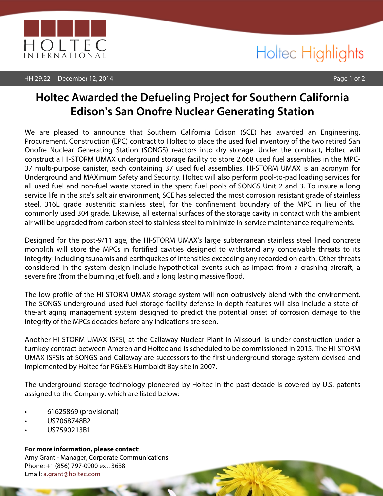

#### HH 29.22 | December 12, 2014 Page 1 of 2

## Holtec Highlights

## **Holtec Awarded the Defueling Project for Southern California Edison's San Onofre Nuclear Generating Station**

We are pleased to announce that Southern California Edison (SCE) has awarded an Engineering, Procurement, Construction (EPC) contract to Holtec to place the used fuel inventory of the two retired San Onofre Nuclear Generating Station (SONGS) reactors into dry storage. Under the contract, Holtec will construct a HI-STORM UMAX underground storage facility to store 2,668 used fuel assemblies in the MPC-37 multi-purpose canister, each containing 37 used fuel assemblies. HI-STORM UMAX is an acronym for Underground and MAXimum Safety and Security. Holtec will also perform pool-to-pad loading services for all used fuel and non-fuel waste stored in the spent fuel pools of SONGS Unit 2 and 3. To insure a long service life in the site's salt air environment, SCE has selected the most corrosion resistant grade of stainless steel, 316L grade austenitic stainless steel, for the confinement boundary of the MPC in lieu of the commonly used 304 grade. Likewise, all external surfaces of the storage cavity in contact with the ambient air will be upgraded from carbon steel to stainless steel to minimize in-service maintenance requirements.

Designed for the post-9/11 age, the HI-STORM UMAX's large subterranean stainless steel lined concrete monolith will store the MPCs in fortified cavities designed to withstand any conceivable threats to its integrity; including tsunamis and earthquakes of intensities exceeding any recorded on earth. Other threats considered in the system design include hypothetical events such as impact from a crashing aircraft, a severe fire (from the burning jet fuel), and a long lasting massive flood.

The low profile of the HI-STORM UMAX storage system will non-obtrusively blend with the environment. The SONGS underground used fuel storage facility defense-in-depth features will also include a state-ofthe-art aging management system designed to predict the potential onset of corrosion damage to the integrity of the MPCs decades before any indications are seen.

Another HI-STORM UMAX ISFSI, at the Callaway Nuclear Plant in Missouri, is under construction under a turnkey contract between Ameren and Holtec and is scheduled to be commissioned in 2015. The HI-STORM UMAX ISFSIs at SONGS and Callaway are successors to the first underground storage system devised and implemented by Holtec for PG&E's Humboldt Bay site in 2007.

The underground storage technology pioneered by Holtec in the past decade is covered by U.S. patents assigned to the Company, which are listed below:

- 61625869 (provisional)
- US7068748B2
- US7590213B1

**For more information, please contact**:

Amy Grant - Manager, Corporate Communications Phone: +1 (856) 797-0900 ext. 3638 Email: a.grant@holtec.com